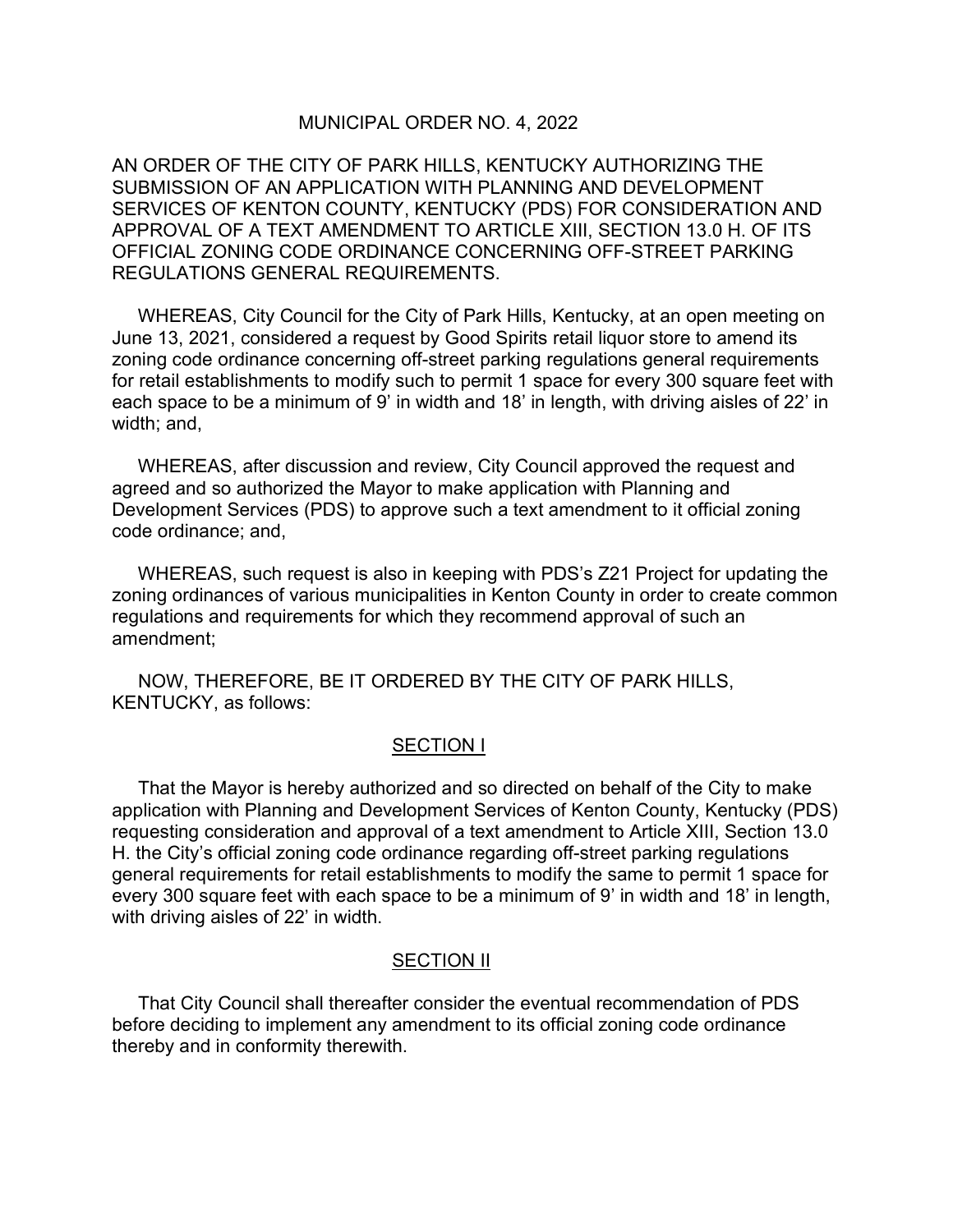## MUNICIPAL ORDER NO. 4, 2022

AN ORDER OF THE CITY OF PARK HILLS, KENTUCKY AUTHORIZING THE SUBMISSION OF AN APPLICATION WITH PLANNING AND DEVELOPMENT SERVICES OF KENTON COUNTY, KENTUCKY (PDS) FOR CONSIDERATION AND APPROVAL OF A TEXT AMENDMENT TO ARTICLE XIII, SECTION 13.0 H. OF ITS OFFICIAL ZONING CODE ORDINANCE CONCERNING OFF-STREET PARKING REGULATIONS GENERAL REQUIREMENTS.

 WHEREAS, City Council for the City of Park Hills, Kentucky, at an open meeting on June 13, 2021, considered a request by Good Spirits retail liquor store to amend its zoning code ordinance concerning off-street parking regulations general requirements for retail establishments to modify such to permit 1 space for every 300 square feet with each space to be a minimum of 9' in width and 18' in length, with driving aisles of 22' in width; and,

 WHEREAS, after discussion and review, City Council approved the request and agreed and so authorized the Mayor to make application with Planning and Development Services (PDS) to approve such a text amendment to it official zoning code ordinance; and,

 WHEREAS, such request is also in keeping with PDS's Z21 Project for updating the zoning ordinances of various municipalities in Kenton County in order to create common regulations and requirements for which they recommend approval of such an amendment;

 NOW, THEREFORE, BE IT ORDERED BY THE CITY OF PARK HILLS, KENTUCKY, as follows:

## SECTION I

 That the Mayor is hereby authorized and so directed on behalf of the City to make application with Planning and Development Services of Kenton County, Kentucky (PDS) requesting consideration and approval of a text amendment to Article XIII, Section 13.0 H. the City's official zoning code ordinance regarding off-street parking regulations general requirements for retail establishments to modify the same to permit 1 space for every 300 square feet with each space to be a minimum of 9' in width and 18' in length, with driving aisles of 22' in width.

## SECTION II

 That City Council shall thereafter consider the eventual recommendation of PDS before deciding to implement any amendment to its official zoning code ordinance thereby and in conformity therewith.